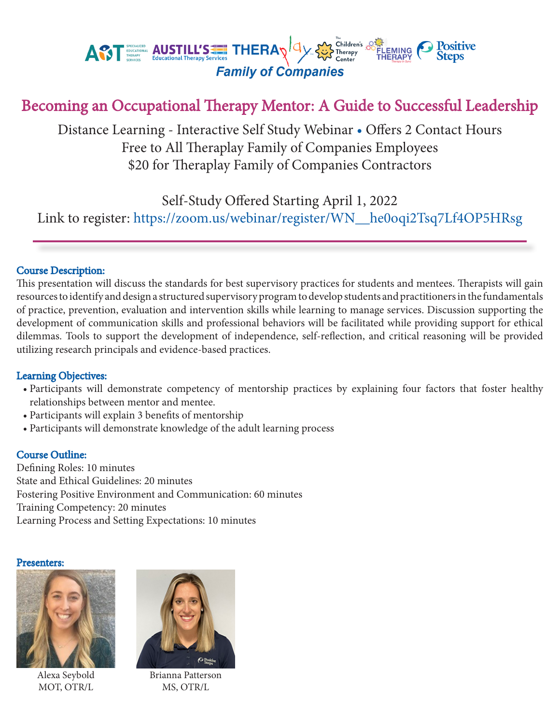

# Becoming an Occupational Therapy Mentor: A Guide to Successful Leadership

Distance Learning - Interactive Self Study Webinar • Offers 2 Contact Hours Free to All Theraplay Family of Companies Employees \$20 for Theraplay Family of Companies Contractors

Self-Study Offered Starting April 1, 2022

Link to register: https://zoom.us/webinar/register/WN\_\_he0oqi2Tsq7Lf4OP5HRsg

### Course Description:

This presentation will discuss the standards for best supervisory practices for students and mentees. Therapists will gain resources to identify and design a structured supervisory program to develop students and practitioners in the fundamentals of practice, prevention, evaluation and intervention skills while learning to manage services. Discussion supporting the development of communication skills and professional behaviors will be facilitated while providing support for ethical dilemmas. Tools to support the development of independence, self-reflection, and critical reasoning will be provided utilizing research principals and evidence-based practices.

#### Learning Objectives:

- Participants will demonstrate competency of mentorship practices by explaining four factors that foster healthy relationships between mentor and mentee.
- Participants will explain 3 benefits of mentorship
- Participants will demonstrate knowledge of the adult learning process

#### Course Outline:

Defining Roles: 10 minutes State and Ethical Guidelines: 20 minutes Fostering Positive Environment and Communication: 60 minutes Training Competency: 20 minutes Learning Process and Setting Expectations: 10 minutes

#### Presenters:



Alexa Seybold MOT, OTR/L



Brianna Patterson MS, OTR/L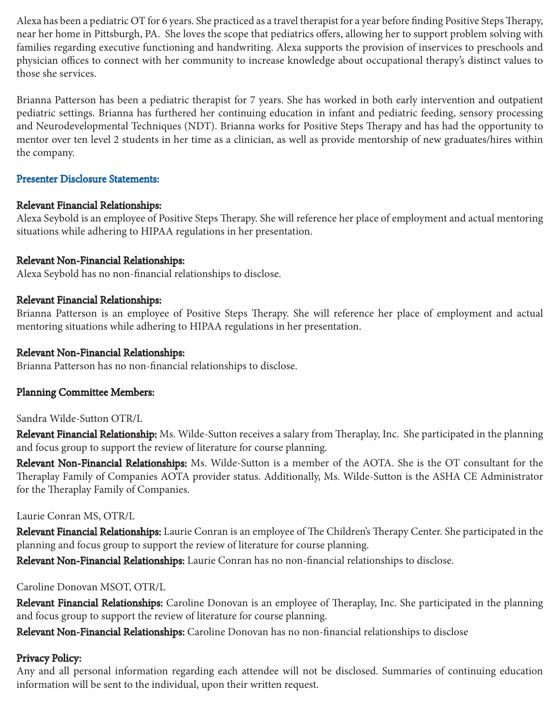Alexa has been a pediatric OT for 6 years. She practiced as a travel therapist for a year before finding Positive Steps Therapy, near her home in Pittsburgh, PA. She loves the scope that pediatrics offers, allowing her to support problem solving with families regarding executive functioning and handwriting. Alexa supports the provision of inservices to preschools and physician offices to connect with her community to increase knowledge about occupational therapy's distinct values to those she services.

Brianna Patterson has been a pediatric therapist for 7 years. She has worked in both early intervention and outpatient pediatric settings. Brianna has furthered her continuing education in infant and pediatric feeding, sensory processing and Neurodevelopmental Techniques (NDT). Brianna works for Positive Steps Therapy and has had the opportunity to mentor over ten level 2 students in her time as a clinician, as well as provide mentorship of new graduates/hires within the company.

# Presenter Disclosure Statements:

# Relevant Financial Relationships:

Alexa Seybold is an employee of Positive Steps Therapy. She will reference her place of employment and actual mentoring situations while adhering to HIPAA regulations in her presentation.

# Relevant Non-Financial Relationships:

Alexa Seybold has no non-financial relationships to disclose.

# Relevant Financial Relationships:

Brianna Patterson is an employee of Positive Steps Therapy. She will reference her place of employment and actual mentoring situations while adhering to HIPAA regulations in her presentation.

# Relevant Non-Financial Relationships:

Brianna Patterson has no non-financial relationships to disclose.

# Planning Committee Members:

### Sandra Wilde-Sutton OTR/L

Relevant Financial Relationship: Ms. Wilde-Sutton receives a salary from Theraplay, Inc. She participated in the planning and focus group to support the review of literature for course planning.

Relevant Non-Financial Relationships: Ms. Wilde-Sutton is a member of the AOTA. She is the OT consultant for the Theraplay Family of Companies AOTA provider status. Additionally, Ms. Wilde-Sutton is the ASHA CE Administrator for the Theraplay Family of Companies.

### Laurie Conran MS, OTR/L

Relevant Financial Relationships: Laurie Conran is an employee of The Children's Therapy Center. She participated in the planning and focus group to support the review of literature for course planning.

Relevant Non-Financial Relationships: Laurie Conran has no non-financial relationships to disclose.

### Caroline Donovan MSOT, OTR/L

Relevant Financial Relationships: Caroline Donovan is an employee of Theraplay, Inc. She participated in the planning and focus group to support the review of literature for course planning.

Relevant Non-Financial Relationships: Caroline Donovan has no non-financial relationships to disclose

# Privacy Policy:

Any and all personal information regarding each attendee will not be disclosed. Summaries of continuing education information will be sent to the individual, upon their written request.